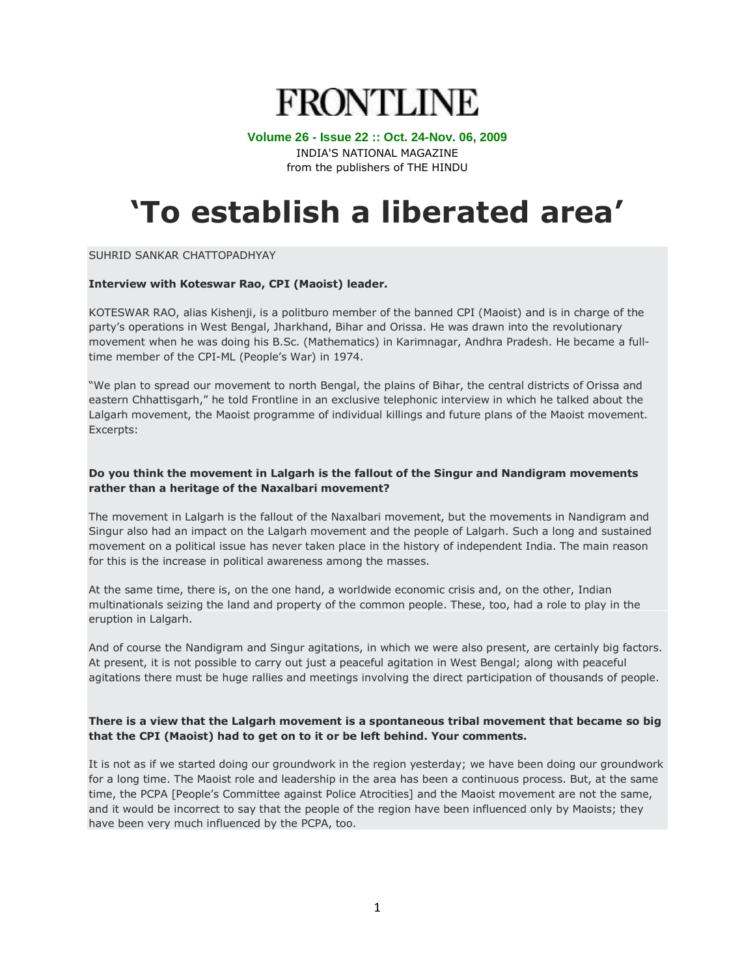# **FRONTLINE**

#### **Volume 26 - Issue 22 :: Oct. 24-Nov. 06, 2009**

INDIA'S NATIONAL MAGAZINE from the publishers of THE HINDU

# **'To establish a liberated area'**

SUHRID SANKAR CHATTOPADHYAY

#### **Interview with Koteswar Rao, CPI (Maoist) leader.**

KOTESWAR RAO, alias Kishenji, is a politburo member of the banned CPI (Maoist) and is in charge of the party"s operations in West Bengal, Jharkhand, Bihar and Orissa. He was drawn into the revolutionary movement when he was doing his B.Sc. (Mathematics) in Karimnagar, Andhra Pradesh. He became a fulltime member of the CPI-ML (People's War) in 1974.

"We plan to spread our movement to north Bengal, the plains of Bihar, the central districts of Orissa and eastern Chhattisgarh," he told Frontline in an exclusive telephonic interview in which he talked about the Lalgarh movement, the Maoist programme of individual killings and future plans of the Maoist movement. Excerpts:

### **Do you think the movement in Lalgarh is the fallout of the Singur and Nandigram movements rather than a heritage of the Naxalbari movement?**

The movement in Lalgarh is the fallout of the Naxalbari movement, but the movements in Nandigram and Singur also had an impact on the Lalgarh movement and the people of Lalgarh. Such a long and sustained movement on a political issue has never taken place in the history of independent India. The main reason for this is the increase in political awareness among the masses.

At the same time, there is, on the one hand, a worldwide economic crisis and, on the other, Indian multinationals seizing the land and property of the common people. These, too, had a role to play in the eruption in Lalgarh.

And of course the Nandigram and Singur agitations, in which we were also present, are certainly big factors. At present, it is not possible to carry out just a peaceful agitation in West Bengal; along with peaceful agitations there must be huge rallies and meetings involving the direct participation of thousands of people.

## **There is a view that the Lalgarh movement is a spontaneous tribal movement that became so big that the CPI (Maoist) had to get on to it or be left behind. Your comments.**

It is not as if we started doing our groundwork in the region yesterday; we have been doing our groundwork for a long time. The Maoist role and leadership in the area has been a continuous process. But, at the same time, the PCPA [People"s Committee against Police Atrocities] and the Maoist movement are not the same, and it would be incorrect to say that the people of the region have been influenced only by Maoists; they have been very much influenced by the PCPA, too.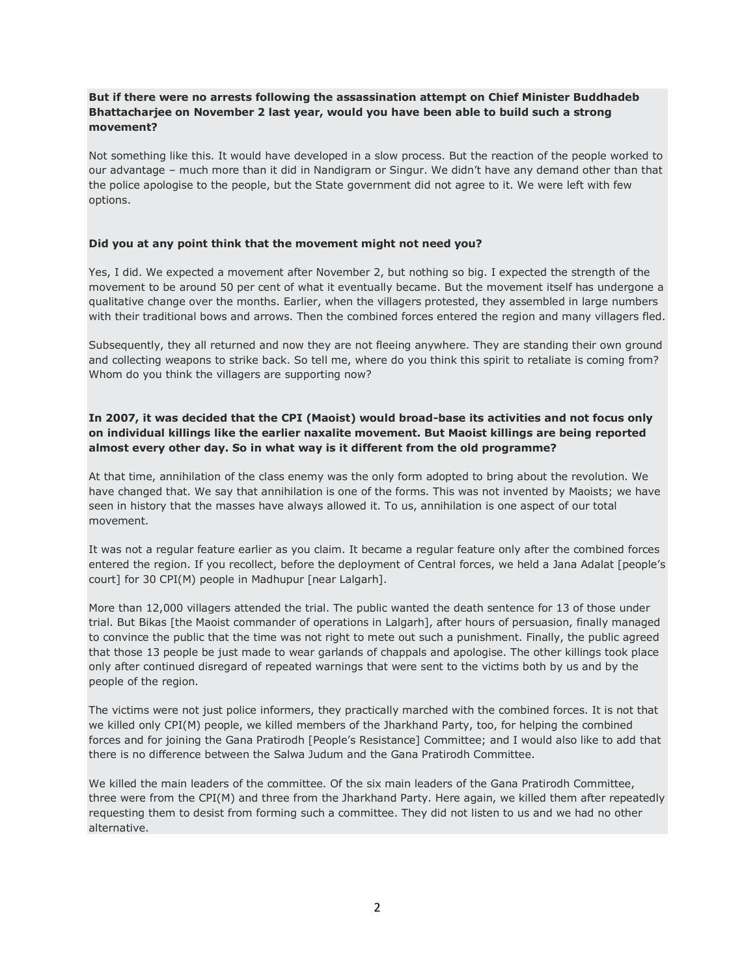### **But if there were no arrests following the assassination attempt on Chief Minister Buddhadeb Bhattacharjee on November 2 last year, would you have been able to build such a strong movement?**

Not something like this. It would have developed in a slow process. But the reaction of the people worked to our advantage – much more than it did in Nandigram or Singur. We didn"t have any demand other than that the police apologise to the people, but the State government did not agree to it. We were left with few options.

#### **Did you at any point think that the movement might not need you?**

Yes, I did. We expected a movement after November 2, but nothing so big. I expected the strength of the movement to be around 50 per cent of what it eventually became. But the movement itself has undergone a qualitative change over the months. Earlier, when the villagers protested, they assembled in large numbers with their traditional bows and arrows. Then the combined forces entered the region and many villagers fled.

Subsequently, they all returned and now they are not fleeing anywhere. They are standing their own ground and collecting weapons to strike back. So tell me, where do you think this spirit to retaliate is coming from? Whom do you think the villagers are supporting now?

# **In 2007, it was decided that the CPI (Maoist) would broad-base its activities and not focus only on individual killings like the earlier naxalite movement. But Maoist killings are being reported almost every other day. So in what way is it different from the old programme?**

At that time, annihilation of the class enemy was the only form adopted to bring about the revolution. We have changed that. We say that annihilation is one of the forms. This was not invented by Maoists; we have seen in history that the masses have always allowed it. To us, annihilation is one aspect of our total movement.

It was not a regular feature earlier as you claim. It became a regular feature only after the combined forces entered the region. If you recollect, before the deployment of Central forces, we held a Jana Adalat [people"s court] for 30 CPI(M) people in Madhupur [near Lalgarh].

More than 12,000 villagers attended the trial. The public wanted the death sentence for 13 of those under trial. But Bikas [the Maoist commander of operations in Lalgarh], after hours of persuasion, finally managed to convince the public that the time was not right to mete out such a punishment. Finally, the public agreed that those 13 people be just made to wear garlands of chappals and apologise. The other killings took place only after continued disregard of repeated warnings that were sent to the victims both by us and by the people of the region.

The victims were not just police informers, they practically marched with the combined forces. It is not that we killed only CPI(M) people, we killed members of the Jharkhand Party, too, for helping the combined forces and for joining the Gana Pratirodh [People"s Resistance] Committee; and I would also like to add that there is no difference between the Salwa Judum and the Gana Pratirodh Committee.

We killed the main leaders of the committee. Of the six main leaders of the Gana Pratirodh Committee, three were from the CPI(M) and three from the Jharkhand Party. Here again, we killed them after repeatedly requesting them to desist from forming such a committee. They did not listen to us and we had no other alternative.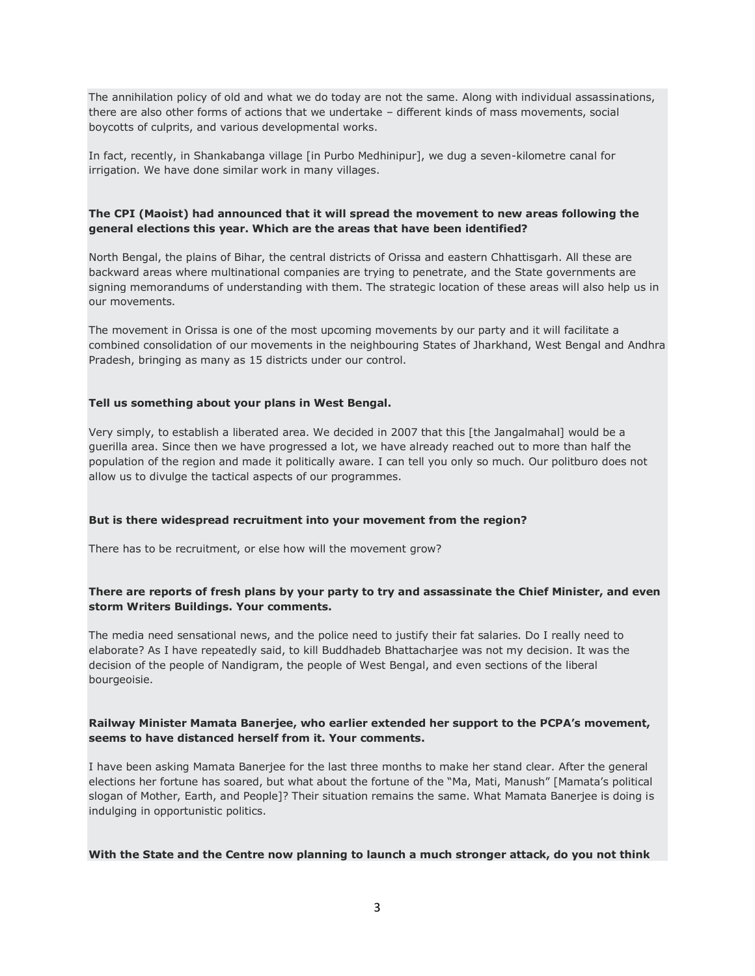The annihilation policy of old and what we do today are not the same. Along with individual assassinations, there are also other forms of actions that we undertake – different kinds of mass movements, social boycotts of culprits, and various developmental works.

In fact, recently, in Shankabanga village [in Purbo Medhinipur], we dug a seven-kilometre canal for irrigation. We have done similar work in many villages.

#### **The CPI (Maoist) had announced that it will spread the movement to new areas following the general elections this year. Which are the areas that have been identified?**

North Bengal, the plains of Bihar, the central districts of Orissa and eastern Chhattisgarh. All these are backward areas where multinational companies are trying to penetrate, and the State governments are signing memorandums of understanding with them. The strategic location of these areas will also help us in our movements.

The movement in Orissa is one of the most upcoming movements by our party and it will facilitate a combined consolidation of our movements in the neighbouring States of Jharkhand, West Bengal and Andhra Pradesh, bringing as many as 15 districts under our control.

#### **Tell us something about your plans in West Bengal.**

Very simply, to establish a liberated area. We decided in 2007 that this [the Jangalmahal] would be a guerilla area. Since then we have progressed a lot, we have already reached out to more than half the population of the region and made it politically aware. I can tell you only so much. Our politburo does not allow us to divulge the tactical aspects of our programmes.

#### **But is there widespread recruitment into your movement from the region?**

There has to be recruitment, or else how will the movement grow?

#### **There are reports of fresh plans by your party to try and assassinate the Chief Minister, and even storm Writers Buildings. Your comments.**

The media need sensational news, and the police need to justify their fat salaries. Do I really need to elaborate? As I have repeatedly said, to kill Buddhadeb Bhattacharjee was not my decision. It was the decision of the people of Nandigram, the people of West Bengal, and even sections of the liberal bourgeoisie.

#### **Railway Minister Mamata Banerjee, who earlier extended her support to the PCPA's movement, seems to have distanced herself from it. Your comments.**

I have been asking Mamata Banerjee for the last three months to make her stand clear. After the general elections her fortune has soared, but what about the fortune of the "Ma, Mati, Manush" [Mamata"s political slogan of Mother, Earth, and People]? Their situation remains the same. What Mamata Banerjee is doing is indulging in opportunistic politics.

#### **With the State and the Centre now planning to launch a much stronger attack, do you not think**